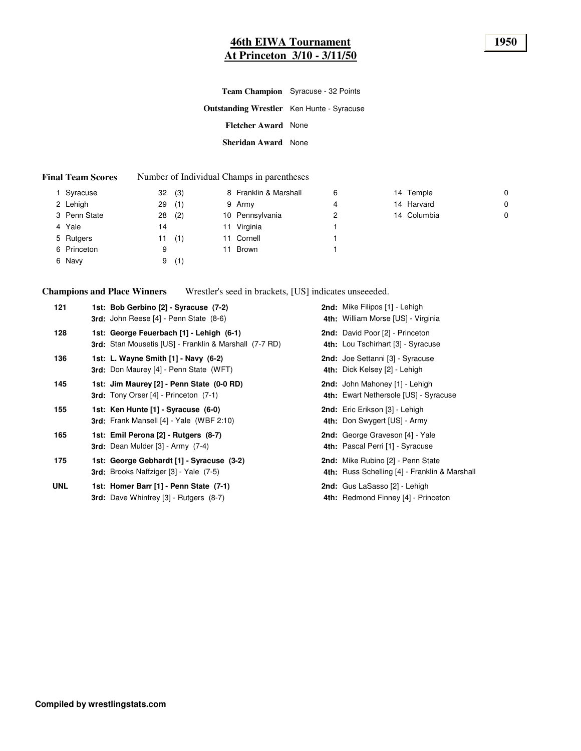#### **46th EIWA Tournament 1950 At Princeton 3/10 - 3/11/50**

|                                                  | Team Champion Syracuse - 32 Points |
|--------------------------------------------------|------------------------------------|
| <b>Outstanding Wrestler</b> Ken Hunte - Syracuse |                                    |
| <b>Fletcher Award</b> None                       |                                    |
| Sheridan Award None                              |                                    |

#### **Final Team Scores** Number of Individual Champs in parentheses

| Syracuse     | (3)<br>32 | 8 Franklin & Marshall | 6 | 14 Temple   | $\mathbf 0$ |
|--------------|-----------|-----------------------|---|-------------|-------------|
| 2 Lehigh     | (1)<br>29 | 9 Army                | 4 | 14 Harvard  | 0           |
| 3 Penn State | (2)<br>28 | 10 Pennsylvania       | 2 | 14 Columbia | 0           |
| 4 Yale       | 14        | 11 Virginia           |   |             |             |
| 5 Rutgers    | (1)<br>11 | 11 Cornell            |   |             |             |
| 6 Princeton  | 9         | 11 Brown              |   |             |             |
| 6 Navy       | (1)<br>9  |                       |   |             |             |
|              |           |                       |   |             |             |

**Champions and Place Winners** Wrestler's seed in brackets, [US] indicates unseeeded.

| 121        | 1st: Bob Gerbino [2] - Syracuse (7-2)<br><b>3rd:</b> John Reese [4] - Penn State (8-6)             | 2nd: Mike Filipos [1] - Lehigh<br>4th: William Morse [US] - Virginia               |
|------------|----------------------------------------------------------------------------------------------------|------------------------------------------------------------------------------------|
| 128        | 1st: George Feuerbach [1] - Lehigh (6-1)<br>3rd: Stan Mousetis [US] - Franklin & Marshall (7-7 RD) | 2nd: David Poor [2] - Princeton<br>4th: Lou Tschirhart [3] - Syracuse              |
| 136        | 1st: L. Wayne Smith [1] - Navy (6-2)<br><b>3rd:</b> Don Maurey [4] - Penn State (WFT)              | 2nd: Joe Settanni [3] - Syracuse<br>4th: Dick Kelsey [2] - Lehigh                  |
| 145        | 1st: Jim Maurey [2] - Penn State (0-0 RD)<br><b>3rd:</b> Tony Orser [4] - Princeton (7-1)          | 2nd: John Mahoney [1] - Lehigh<br>4th: Ewart Nethersole [US] - Syracuse            |
| 155        | 1st: Ken Hunte [1] - Syracuse (6-0)<br><b>3rd:</b> Frank Mansell $[4]$ - Yale (WBF 2:10)           | 2nd: Eric Erikson [3] - Lehigh<br>4th: Don Swygert [US] - Army                     |
| 165        | 1st: Emil Perona [2] - Rutgers (8-7)<br><b>3rd:</b> Dean Mulder $[3]$ - Army $(7-4)$               | 2nd: George Graveson [4] - Yale<br>4th: Pascal Perri [1] - Syracuse                |
| 175        | 1st: George Gebhardt [1] - Syracuse (3-2)<br><b>3rd:</b> Brooks Naffziger [3] - Yale (7-5)         | 2nd: Mike Rubino [2] - Penn State<br>4th: Russ Schelling [4] - Franklin & Marshall |
| <b>UNL</b> | 1st: Homer Barr [1] - Penn State (7-1)<br><b>3rd:</b> Dave Whinfrey [3] - Rutgers (8-7)            | 2nd: Gus LaSasso [2] - Lehigh<br>4th: Redmond Finney [4] - Princeton               |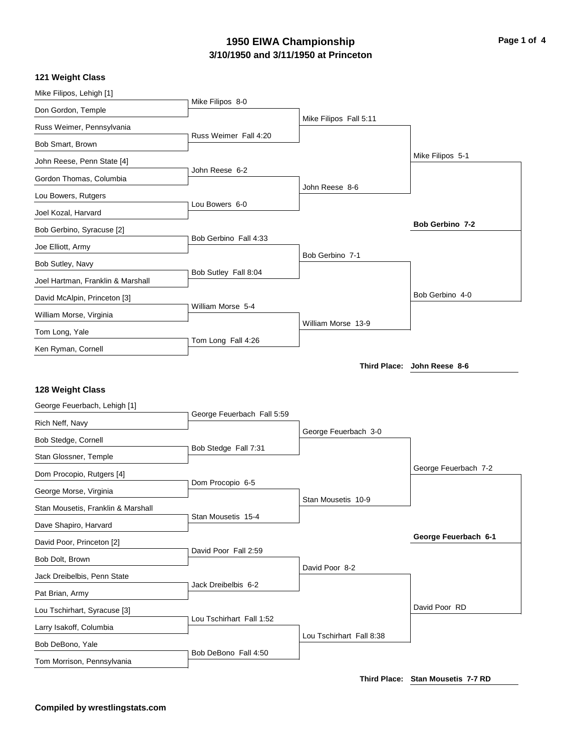### **3/10/1950 and 3/11/1950 at Princeton 1950 EIWA Championship Page 1 of 4**

#### **121 Weight Class**

| Mike Filipos, Lehigh [1]           |                            |                          |                             |
|------------------------------------|----------------------------|--------------------------|-----------------------------|
| Don Gordon, Temple                 | Mike Filipos 8-0           |                          |                             |
| Russ Weimer, Pennsylvania          |                            | Mike Filipos Fall 5:11   |                             |
| Bob Smart, Brown                   | Russ Weimer Fall 4:20      |                          |                             |
| John Reese, Penn State [4]         |                            |                          | Mike Filipos 5-1            |
| Gordon Thomas, Columbia            | John Reese 6-2             |                          |                             |
| Lou Bowers, Rutgers                |                            | John Reese 8-6           |                             |
| Joel Kozal, Harvard                | Lou Bowers 6-0             |                          |                             |
| Bob Gerbino, Syracuse [2]          |                            |                          | Bob Gerbino 7-2             |
| Joe Elliott, Army                  | Bob Gerbino Fall 4:33      |                          |                             |
| Bob Sutley, Navy                   |                            | Bob Gerbino 7-1          |                             |
| Joel Hartman, Franklin & Marshall  | Bob Sutley Fall 8:04       |                          |                             |
| David McAlpin, Princeton [3]       |                            |                          | Bob Gerbino 4-0             |
| William Morse, Virginia            | William Morse 5-4          |                          |                             |
| Tom Long, Yale                     |                            | William Morse 13-9       |                             |
| Ken Ryman, Cornell                 | Tom Long Fall 4:26         |                          |                             |
|                                    |                            |                          | Third Place: John Reese 8-6 |
|                                    |                            |                          |                             |
| 128 Weight Class                   |                            |                          |                             |
| George Feuerbach, Lehigh [1]       | George Feuerbach Fall 5:59 |                          |                             |
| Rich Neff, Navy                    |                            | George Feuerbach 3-0     |                             |
| Bob Stedge, Cornell                | Bob Stedge Fall 7:31       |                          |                             |
| Stan Glossner, Temple              |                            |                          | George Feuerbach 7-2        |
| Dom Procopio, Rutgers [4]          | Dom Procopio 6-5           |                          |                             |
| George Morse, Virginia             |                            | Stan Mousetis 10-9       |                             |
| Stan Mousetis, Franklin & Marshall | Stan Mousetis 15-4         |                          |                             |
| Dave Shapiro, Harvard              |                            |                          |                             |
| David Poor, Princeton [2]          | David Poor Fall 2:59       |                          | George Feuerbach 6-1        |
| Bob Dolt, Brown                    |                            |                          |                             |
|                                    |                            |                          |                             |
| Jack Dreibelbis, Penn State        |                            | David Poor 8-2           |                             |
| Pat Brian, Army                    | Jack Dreibelbis 6-2        |                          |                             |
| Lou Tschirhart, Syracuse [3]       |                            |                          | David Poor RD               |
| Larry Isakoff, Columbia            | Lou Tschirhart Fall 1:52   |                          |                             |
| Bob DeBono, Yale                   | Bob DeBono Fall 4:50       | Lou Tschirhart Fall 8:38 |                             |

**Third Place: Stan Mousetis 7-7 RD**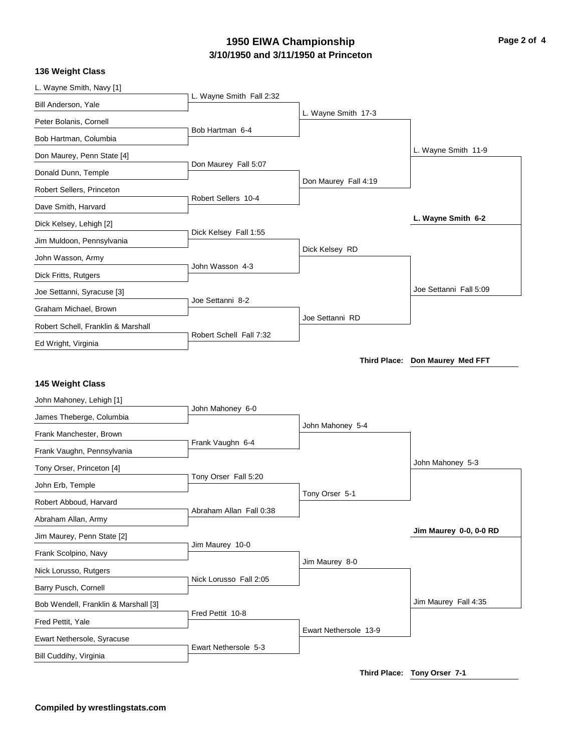# **3/10/1950 and 3/11/1950 at Princeton 1950 EIWA Championship Page 2 of 4**

| L. Wayne Smith, Navy [1]             | L. Wayne Smith Fall 2:32 |                       |                                 |
|--------------------------------------|--------------------------|-----------------------|---------------------------------|
| Bill Anderson, Yale                  |                          |                       |                                 |
| Peter Bolanis, Cornell               |                          | L. Wayne Smith 17-3   |                                 |
| Bob Hartman, Columbia                | Bob Hartman 6-4          |                       |                                 |
| Don Maurey, Penn State [4]           |                          |                       | L. Wayne Smith 11-9             |
| Donald Dunn, Temple                  | Don Maurey Fall 5:07     |                       |                                 |
| Robert Sellers, Princeton            |                          | Don Maurey Fall 4:19  |                                 |
| Dave Smith, Harvard                  | Robert Sellers 10-4      |                       |                                 |
| Dick Kelsey, Lehigh [2]              |                          |                       | L. Wayne Smith 6-2              |
| Jim Muldoon, Pennsylvania            | Dick Kelsey Fall 1:55    |                       |                                 |
| John Wasson, Army                    |                          | Dick Kelsey RD        |                                 |
| Dick Fritts, Rutgers                 | John Wasson 4-3          |                       |                                 |
| Joe Settanni, Syracuse [3]           |                          |                       | Joe Settanni Fall 5:09          |
| Graham Michael, Brown                | Joe Settanni 8-2         |                       |                                 |
| Robert Schell, Franklin & Marshall   |                          | Joe Settanni RD       |                                 |
| Ed Wright, Virginia                  | Robert Schell Fall 7:32  |                       |                                 |
|                                      |                          |                       | Third Place: Don Maurey Med FFT |
| 145 Weight Class                     |                          |                       |                                 |
| John Mahoney, Lehigh [1]             |                          |                       |                                 |
| James Theberge, Columbia             | John Mahoney 6-0         |                       |                                 |
| Frank Manchester, Brown              |                          | John Mahoney 5-4      |                                 |
| Frank Vaughn, Pennsylvania           | Frank Vaughn 6-4         |                       |                                 |
| Tony Orser, Princeton [4]            |                          |                       | John Mahoney 5-3                |
| John Erb, Temple                     | Tony Orser Fall 5:20     |                       |                                 |
| Robert Abboud, Harvard               |                          | Tony Orser 5-1        |                                 |
| Abraham Allan, Army                  | Abraham Allan Fall 0:38  |                       |                                 |
| Jim Maurey, Penn State [2]           |                          |                       | Jim Maurey 0-0, 0-0 RD          |
| Frank Scolpino, Navy                 | Jim Maurey 10-0          |                       |                                 |
| Nick Lorusso, Rutgers                |                          | Jim Maurey 8-0        |                                 |
| Barry Pusch, Cornell                 | Nick Lorusso Fall 2:05   |                       |                                 |
| Bob Wendell, Franklin & Marshall [3] |                          |                       | Jim Maurey Fall 4:35            |
| Fred Pettit, Yale                    | Fred Pettit 10-8         |                       |                                 |
| Ewart Nethersole, Syracuse           |                          | Ewart Nethersole 13-9 |                                 |
|                                      | Ewart Nethersole 5-3     |                       |                                 |
| Bill Cuddihy, Virginia               |                          |                       |                                 |

**Third Place: Tony Orser 7-1**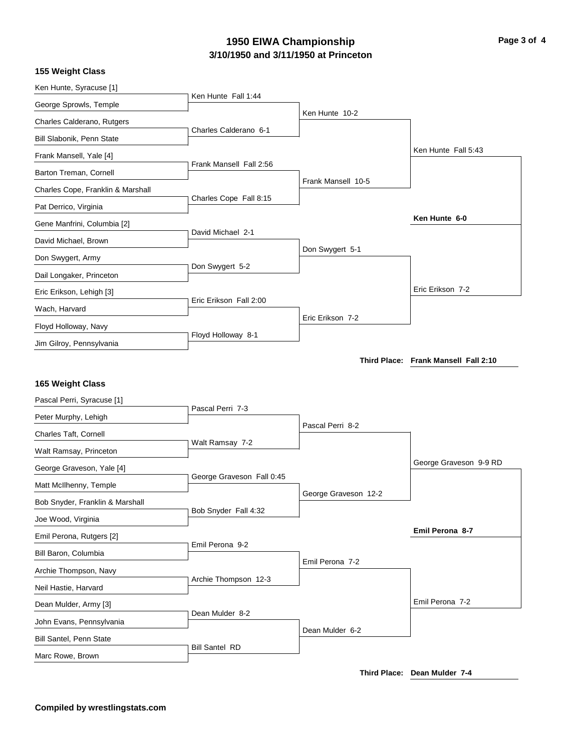# **3/10/1950 and 3/11/1950 at Princeton 1950 EIWA Championship Page 3 of 4**

| Ken Hunte, Syracuse [1]                        |                           |                      |                                      |
|------------------------------------------------|---------------------------|----------------------|--------------------------------------|
| George Sprowls, Temple                         | Ken Hunte Fall 1:44       |                      |                                      |
| Charles Calderano, Rutgers                     |                           | Ken Hunte 10-2       |                                      |
| Bill Slabonik, Penn State                      | Charles Calderano 6-1     |                      |                                      |
| Frank Mansell, Yale [4]                        |                           |                      | Ken Hunte Fall 5:43                  |
| Barton Treman, Cornell                         | Frank Mansell Fall 2:56   |                      |                                      |
| Charles Cope, Franklin & Marshall              |                           | Frank Mansell 10-5   |                                      |
| Pat Derrico, Virginia                          | Charles Cope Fall 8:15    |                      |                                      |
| Gene Manfrini, Columbia [2]                    |                           |                      | Ken Hunte 6-0                        |
| David Michael, Brown                           | David Michael 2-1         |                      |                                      |
| Don Swygert, Army                              |                           | Don Swygert 5-1      |                                      |
| Dail Longaker, Princeton                       | Don Swygert 5-2           |                      |                                      |
| Eric Erikson, Lehigh [3]                       |                           |                      | Eric Erikson 7-2                     |
| Wach, Harvard                                  | Eric Erikson Fall 2:00    |                      |                                      |
| Floyd Holloway, Navy                           |                           | Eric Erikson 7-2     |                                      |
| Jim Gilroy, Pennsylvania                       | Floyd Holloway 8-1        |                      |                                      |
|                                                |                           |                      | Third Place: Frank Mansell Fall 2:10 |
| 165 Weight Class<br>Pascal Perri, Syracuse [1] |                           |                      |                                      |
| Peter Murphy, Lehigh                           | Pascal Perri 7-3          |                      |                                      |
| Charles Taft, Cornell                          |                           | Pascal Perri 8-2     |                                      |
| Walt Ramsay, Princeton                         | Walt Ramsay 7-2           |                      |                                      |
| George Graveson, Yale [4]                      |                           |                      | George Graveson 9-9 RD               |
| Matt McIlhenny, Temple                         | George Graveson Fall 0:45 |                      |                                      |
| Bob Snyder, Franklin & Marshall                |                           | George Graveson 12-2 |                                      |
| Joe Wood, Virginia                             | Bob Snyder Fall 4:32      |                      |                                      |
| Emil Perona, Rutgers [2]                       |                           |                      | Emil Perona 8-7                      |
| Bill Baron, Columbia                           | Emil Perona 9-2           |                      |                                      |
|                                                |                           | Emil Perona 7-2      |                                      |
| Archie Thompson, Navy                          | Archie Thompson 12-3      |                      |                                      |
| Neil Hastie, Harvard                           |                           |                      | Emil Perona 7-2                      |
| Dean Mulder, Army [3]                          | Dean Mulder 8-2           |                      |                                      |
| John Evans, Pennsylvania                       |                           | Dean Mulder 6-2      |                                      |
| <b>Bill Santel, Penn State</b>                 | <b>Bill Santel RD</b>     |                      |                                      |
| Marc Rowe, Brown                               |                           |                      |                                      |

**Third Place: Dean Mulder 7-4**

**155 Weight Class**